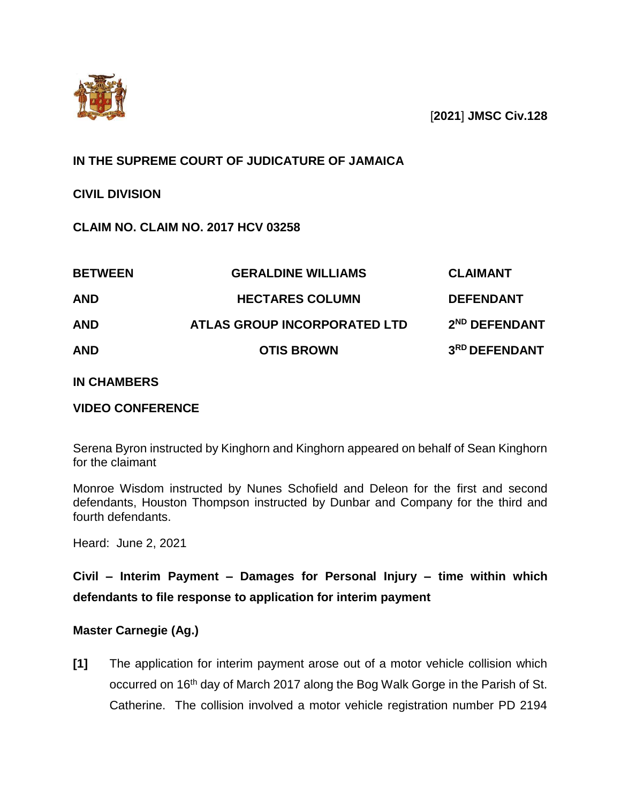

[**2021**] **JMSC Civ.128**

## **IN THE SUPREME COURT OF JUDICATURE OF JAMAICA**

## **CIVIL DIVISION**

## **CLAIM NO. CLAIM NO. 2017 HCV 03258**

| <b>BETWEEN</b><br><b>AND</b><br><b>AND</b> | <b>GERALDINE WILLIAMS</b>                              | <b>CLAIMANT</b>                               |
|--------------------------------------------|--------------------------------------------------------|-----------------------------------------------|
|                                            | <b>HECTARES COLUMN</b><br>ATLAS GROUP INCORPORATED LTD | <b>DEFENDANT</b><br>2 <sup>ND</sup> DEFENDANT |
|                                            |                                                        |                                               |

#### **IN CHAMBERS**

#### **VIDEO CONFERENCE**

Serena Byron instructed by Kinghorn and Kinghorn appeared on behalf of Sean Kinghorn for the claimant

Monroe Wisdom instructed by Nunes Schofield and Deleon for the first and second defendants, Houston Thompson instructed by Dunbar and Company for the third and fourth defendants.

Heard: June 2, 2021

# **Civil – Interim Payment – Damages for Personal Injury – time within which defendants to file response to application for interim payment**

#### **Master Carnegie (Ag.)**

**[1]** The application for interim payment arose out of a motor vehicle collision which occurred on 16<sup>th</sup> day of March 2017 along the Bog Walk Gorge in the Parish of St. Catherine. The collision involved a motor vehicle registration number PD 2194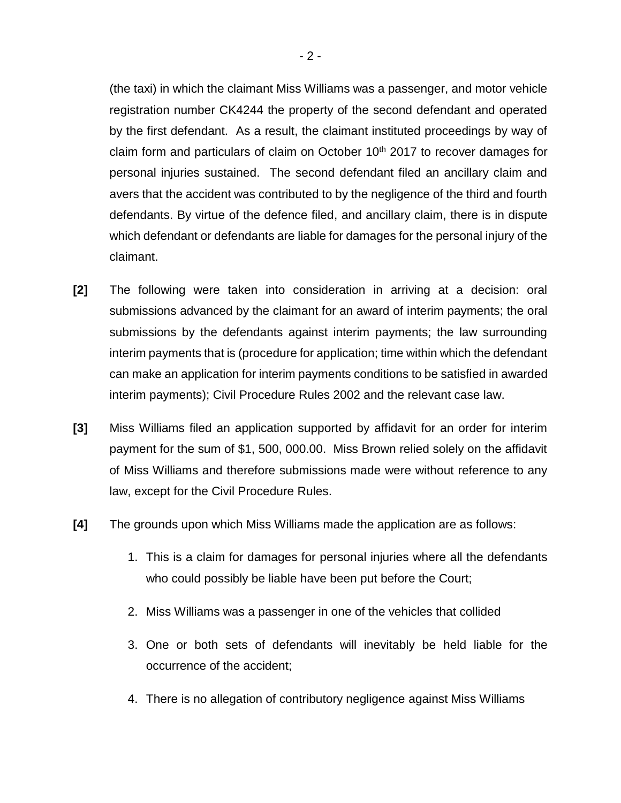(the taxi) in which the claimant Miss Williams was a passenger, and motor vehicle registration number CK4244 the property of the second defendant and operated by the first defendant. As a result, the claimant instituted proceedings by way of claim form and particulars of claim on October  $10<sup>th</sup>$  2017 to recover damages for personal injuries sustained. The second defendant filed an ancillary claim and avers that the accident was contributed to by the negligence of the third and fourth defendants. By virtue of the defence filed, and ancillary claim, there is in dispute which defendant or defendants are liable for damages for the personal injury of the claimant.

- **[2]** The following were taken into consideration in arriving at a decision: oral submissions advanced by the claimant for an award of interim payments; the oral submissions by the defendants against interim payments; the law surrounding interim payments that is (procedure for application; time within which the defendant can make an application for interim payments conditions to be satisfied in awarded interim payments); Civil Procedure Rules 2002 and the relevant case law.
- **[3]** Miss Williams filed an application supported by affidavit for an order for interim payment for the sum of \$1, 500, 000.00. Miss Brown relied solely on the affidavit of Miss Williams and therefore submissions made were without reference to any law, except for the Civil Procedure Rules.
- **[4]** The grounds upon which Miss Williams made the application are as follows:
	- 1. This is a claim for damages for personal injuries where all the defendants who could possibly be liable have been put before the Court;
	- 2. Miss Williams was a passenger in one of the vehicles that collided
	- 3. One or both sets of defendants will inevitably be held liable for the occurrence of the accident;
	- 4. There is no allegation of contributory negligence against Miss Williams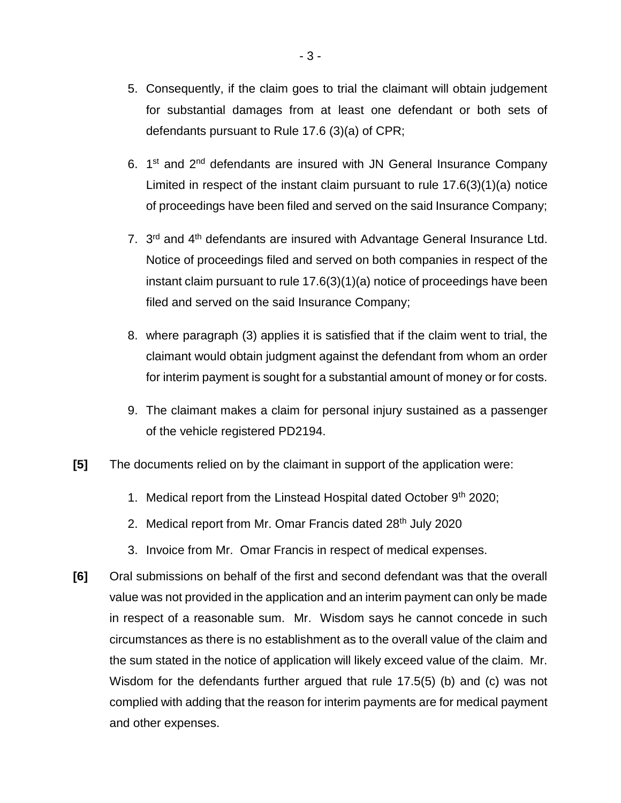- 5. Consequently, if the claim goes to trial the claimant will obtain judgement for substantial damages from at least one defendant or both sets of defendants pursuant to Rule 17.6 (3)(a) of CPR;
- 6.  $1<sup>st</sup>$  and  $2<sup>nd</sup>$  defendants are insured with JN General Insurance Company Limited in respect of the instant claim pursuant to rule 17.6(3)(1)(a) notice of proceedings have been filed and served on the said Insurance Company;
- 7. 3<sup>rd</sup> and 4<sup>th</sup> defendants are insured with Advantage General Insurance Ltd. Notice of proceedings filed and served on both companies in respect of the instant claim pursuant to rule 17.6(3)(1)(a) notice of proceedings have been filed and served on the said Insurance Company;
- 8. where paragraph (3) applies it is satisfied that if the claim went to trial, the claimant would obtain judgment against the defendant from whom an order for interim payment is sought for a substantial amount of money or for costs.
- 9. The claimant makes a claim for personal injury sustained as a passenger of the vehicle registered PD2194.
- **[5]** The documents relied on by the claimant in support of the application were:
	- 1. Medical report from the Linstead Hospital dated October  $9<sup>th</sup>$  2020;
	- 2. Medical report from Mr. Omar Francis dated 28<sup>th</sup> July 2020
	- 3. Invoice from Mr. Omar Francis in respect of medical expenses.
- **[6]** Oral submissions on behalf of the first and second defendant was that the overall value was not provided in the application and an interim payment can only be made in respect of a reasonable sum. Mr. Wisdom says he cannot concede in such circumstances as there is no establishment as to the overall value of the claim and the sum stated in the notice of application will likely exceed value of the claim. Mr. Wisdom for the defendants further argued that rule 17.5(5) (b) and (c) was not complied with adding that the reason for interim payments are for medical payment and other expenses.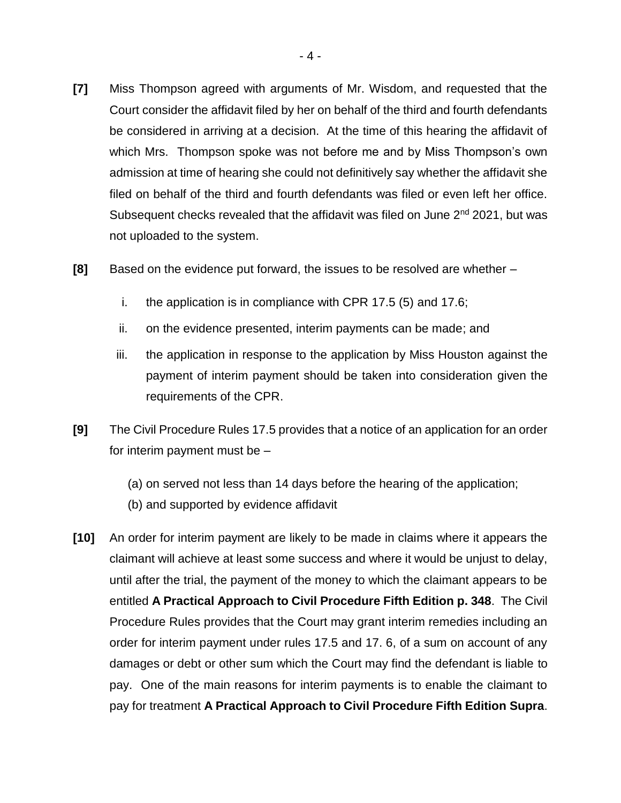- **[7]** Miss Thompson agreed with arguments of Mr. Wisdom, and requested that the Court consider the affidavit filed by her on behalf of the third and fourth defendants be considered in arriving at a decision. At the time of this hearing the affidavit of which Mrs. Thompson spoke was not before me and by Miss Thompson's own admission at time of hearing she could not definitively say whether the affidavit she filed on behalf of the third and fourth defendants was filed or even left her office. Subsequent checks revealed that the affidavit was filed on June 2<sup>nd</sup> 2021, but was not uploaded to the system.
- **[8]** Based on the evidence put forward, the issues to be resolved are whether
	- i. the application is in compliance with CPR 17.5 (5) and 17.6;
	- ii. on the evidence presented, interim payments can be made; and
	- iii. the application in response to the application by Miss Houston against the payment of interim payment should be taken into consideration given the requirements of the CPR.
- **[9]** The Civil Procedure Rules 17.5 provides that a notice of an application for an order for interim payment must be –
	- (a) on served not less than 14 days before the hearing of the application;
	- (b) and supported by evidence affidavit
- **[10]** An order for interim payment are likely to be made in claims where it appears the claimant will achieve at least some success and where it would be unjust to delay, until after the trial, the payment of the money to which the claimant appears to be entitled **A Practical Approach to Civil Procedure Fifth Edition p. 348**. The Civil Procedure Rules provides that the Court may grant interim remedies including an order for interim payment under rules 17.5 and 17. 6, of a sum on account of any damages or debt or other sum which the Court may find the defendant is liable to pay. One of the main reasons for interim payments is to enable the claimant to pay for treatment **A Practical Approach to Civil Procedure Fifth Edition Supra**.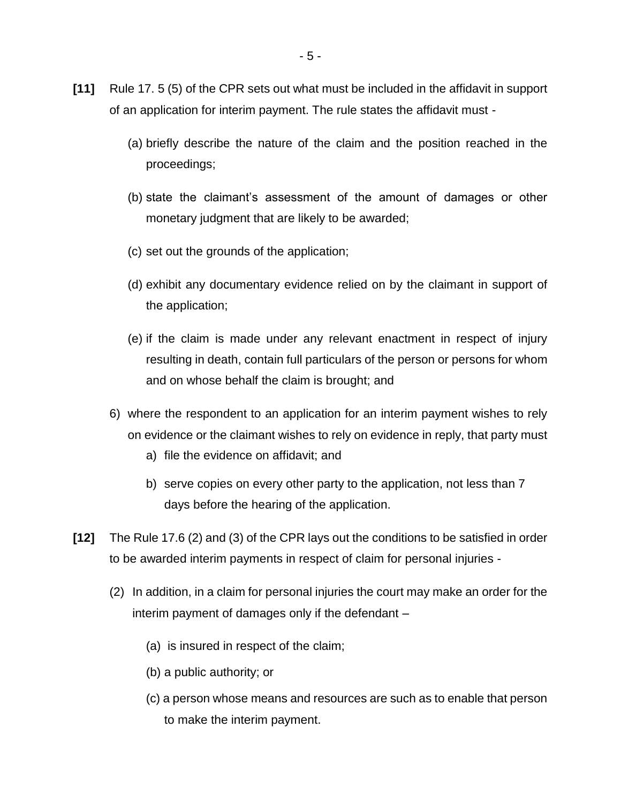- **[11]** Rule 17. 5 (5) of the CPR sets out what must be included in the affidavit in support of an application for interim payment. The rule states the affidavit must -
	- (a) briefly describe the nature of the claim and the position reached in the proceedings;
	- (b) state the claimant's assessment of the amount of damages or other monetary judgment that are likely to be awarded;
	- (c) set out the grounds of the application;
	- (d) exhibit any documentary evidence relied on by the claimant in support of the application;
	- (e) if the claim is made under any relevant enactment in respect of injury resulting in death, contain full particulars of the person or persons for whom and on whose behalf the claim is brought; and
	- 6) where the respondent to an application for an interim payment wishes to rely on evidence or the claimant wishes to rely on evidence in reply, that party must
		- a) file the evidence on affidavit; and
		- b) serve copies on every other party to the application, not less than 7 days before the hearing of the application.
- **[12]** The Rule 17.6 (2) and (3) of the CPR lays out the conditions to be satisfied in order to be awarded interim payments in respect of claim for personal injuries -
	- (2) In addition, in a claim for personal injuries the court may make an order for the interim payment of damages only if the defendant –
		- (a) is insured in respect of the claim;
		- (b) a public authority; or
		- (c) a person whose means and resources are such as to enable that person to make the interim payment.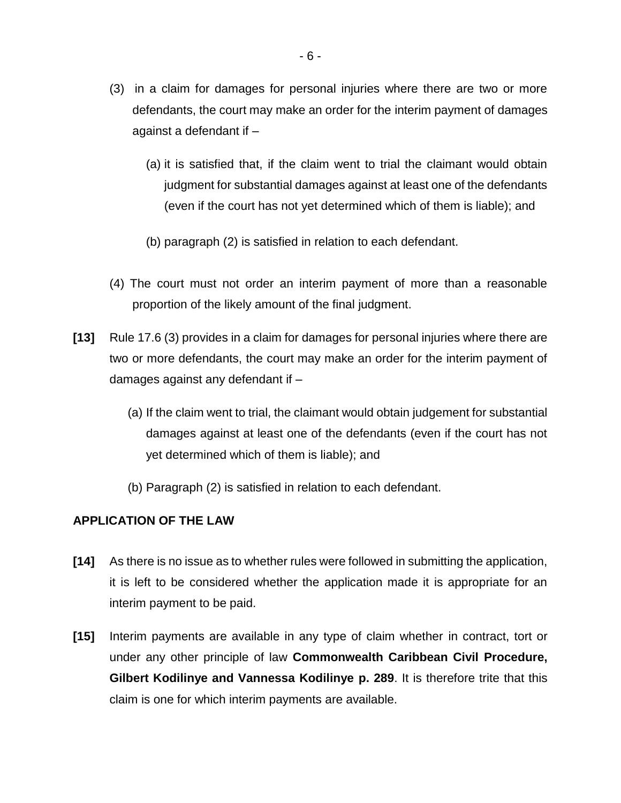- (3) in a claim for damages for personal injuries where there are two or more defendants, the court may make an order for the interim payment of damages against a defendant if –
	- (a) it is satisfied that, if the claim went to trial the claimant would obtain judgment for substantial damages against at least one of the defendants (even if the court has not yet determined which of them is liable); and
	- (b) paragraph (2) is satisfied in relation to each defendant.
- (4) The court must not order an interim payment of more than a reasonable proportion of the likely amount of the final judgment.
- **[13]** Rule 17.6 (3) provides in a claim for damages for personal injuries where there are two or more defendants, the court may make an order for the interim payment of damages against any defendant if –
	- (a) If the claim went to trial, the claimant would obtain judgement for substantial damages against at least one of the defendants (even if the court has not yet determined which of them is liable); and
	- (b) Paragraph (2) is satisfied in relation to each defendant.

#### **APPLICATION OF THE LAW**

- **[14]** As there is no issue as to whether rules were followed in submitting the application, it is left to be considered whether the application made it is appropriate for an interim payment to be paid.
- **[15]** Interim payments are available in any type of claim whether in contract, tort or under any other principle of law **Commonwealth Caribbean Civil Procedure, Gilbert Kodilinye and Vannessa Kodilinye p. 289**. It is therefore trite that this claim is one for which interim payments are available.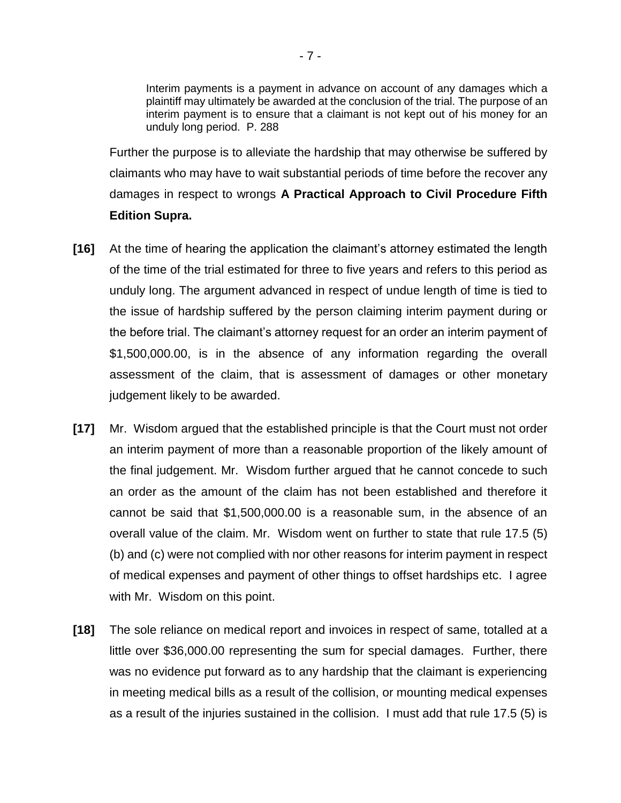Interim payments is a payment in advance on account of any damages which a plaintiff may ultimately be awarded at the conclusion of the trial. The purpose of an interim payment is to ensure that a claimant is not kept out of his money for an unduly long period. P. 288

Further the purpose is to alleviate the hardship that may otherwise be suffered by claimants who may have to wait substantial periods of time before the recover any damages in respect to wrongs **A Practical Approach to Civil Procedure Fifth Edition Supra.**

- **[16]** At the time of hearing the application the claimant's attorney estimated the length of the time of the trial estimated for three to five years and refers to this period as unduly long. The argument advanced in respect of undue length of time is tied to the issue of hardship suffered by the person claiming interim payment during or the before trial. The claimant's attorney request for an order an interim payment of \$1,500,000.00, is in the absence of any information regarding the overall assessment of the claim, that is assessment of damages or other monetary judgement likely to be awarded.
- **[17]** Mr. Wisdom argued that the established principle is that the Court must not order an interim payment of more than a reasonable proportion of the likely amount of the final judgement. Mr. Wisdom further argued that he cannot concede to such an order as the amount of the claim has not been established and therefore it cannot be said that \$1,500,000.00 is a reasonable sum, in the absence of an overall value of the claim. Mr. Wisdom went on further to state that rule 17.5 (5) (b) and (c) were not complied with nor other reasons for interim payment in respect of medical expenses and payment of other things to offset hardships etc. I agree with Mr. Wisdom on this point.
- **[18]** The sole reliance on medical report and invoices in respect of same, totalled at a little over \$36,000.00 representing the sum for special damages. Further, there was no evidence put forward as to any hardship that the claimant is experiencing in meeting medical bills as a result of the collision, or mounting medical expenses as a result of the injuries sustained in the collision. I must add that rule 17.5 (5) is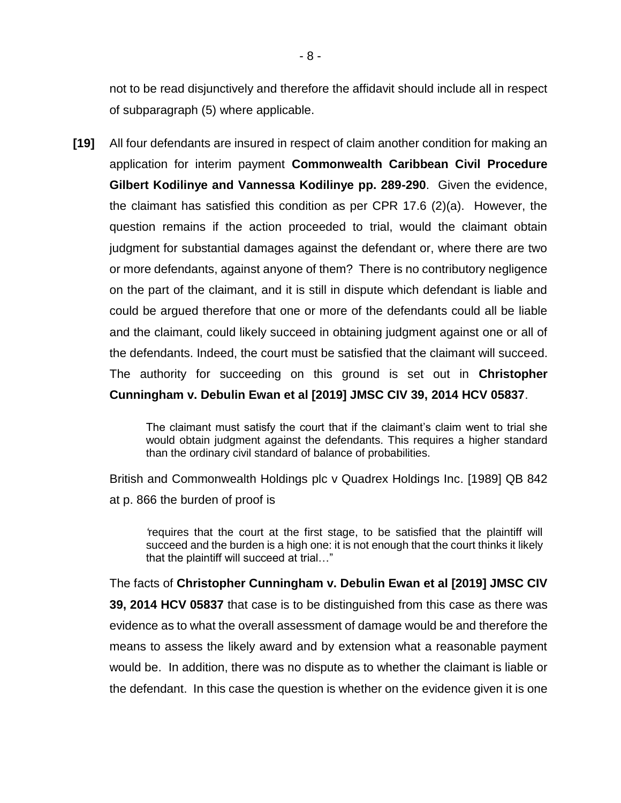not to be read disjunctively and therefore the affidavit should include all in respect of subparagraph (5) where applicable.

**[19]** All four defendants are insured in respect of claim another condition for making an application for interim payment **Commonwealth Caribbean Civil Procedure Gilbert Kodilinye and Vannessa Kodilinye pp. 289-290**. Given the evidence, the claimant has satisfied this condition as per CPR 17.6 (2)(a). However, the question remains if the action proceeded to trial, would the claimant obtain judgment for substantial damages against the defendant or, where there are two or more defendants, against anyone of them? There is no contributory negligence on the part of the claimant, and it is still in dispute which defendant is liable and could be argued therefore that one or more of the defendants could all be liable and the claimant, could likely succeed in obtaining judgment against one or all of the defendants. Indeed, the court must be satisfied that the claimant will succeed. The authority for succeeding on this ground is set out in **Christopher Cunningham v. Debulin Ewan et al [2019] JMSC CIV 39, 2014 HCV 05837**.

> The claimant must satisfy the court that if the claimant's claim went to trial she would obtain judgment against the defendants. This requires a higher standard than the ordinary civil standard of balance of probabilities.

British and Commonwealth Holdings plc v Quadrex Holdings Inc. [1989] QB 842 at p. 866 the burden of proof is

*'*requires that the court at the first stage, to be satisfied that the plaintiff will succeed and the burden is a high one: it is not enough that the court thinks it likely that the plaintiff will succeed at trial…"

The facts of **Christopher Cunningham v. Debulin Ewan et al [2019] JMSC CIV 39, 2014 HCV 05837** that case is to be distinguished from this case as there was evidence as to what the overall assessment of damage would be and therefore the means to assess the likely award and by extension what a reasonable payment would be. In addition, there was no dispute as to whether the claimant is liable or the defendant. In this case the question is whether on the evidence given it is one